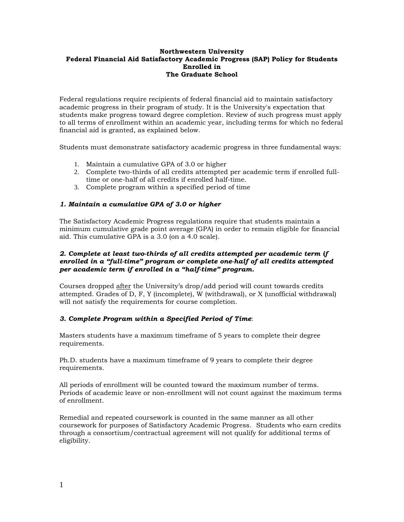#### **Northwestern University Federal Financial Aid Satisfactory Academic Progress (SAP) Policy for Students Enrolled in The Graduate School**

Federal regulations require recipients of federal financial aid to maintain satisfactory academic progress in their program of study. It is the University's expectation that students make progress toward degree completion. Review of such progress must apply to all terms of enrollment within an academic year, including terms for which no federal financial aid is granted, as explained below.

Students must demonstrate satisfactory academic progress in three fundamental ways:

- 1. Maintain a cumulative GPA of 3.0 or higher
- 2. Complete two-thirds of all credits attempted per academic term if enrolled fulltime or one-half of all credits if enrolled half-time.
- 3. Complete program within a specified period of time

# *1. Maintain a cumulative GPA of 3.0 or higher*

The Satisfactory Academic Progress regulations require that students maintain a minimum cumulative grade point average (GPA) in order to remain eligible for financial aid. This cumulative GPA is a 3.0 (on a 4.0 scale).

## *2. Complete at least two-thirds of all credits attempted per academic term if enrolled in a "full-time" program or complete one-half of all credits attempted per academic term if enrolled in a "half-time" program.*

Courses dropped after the University's drop/add period will count towards credits attempted. Grades of D, F, Y (incomplete), W (withdrawal), or X (unofficial withdrawal) will not satisfy the requirements for course completion.

# *3. Complete Program within a Specified Period of Time*:

Masters students have a maximum timeframe of 5 years to complete their degree requirements.

Ph.D. students have a maximum timeframe of 9 years to complete their degree requirements.

All periods of enrollment will be counted toward the maximum number of terms. Periods of academic leave or non-enrollment will not count against the maximum terms of enrollment.

Remedial and repeated coursework is counted in the same manner as all other coursework for purposes of Satisfactory Academic Progress. Students who earn credits through a consortium/contractual agreement will not qualify for additional terms of eligibility.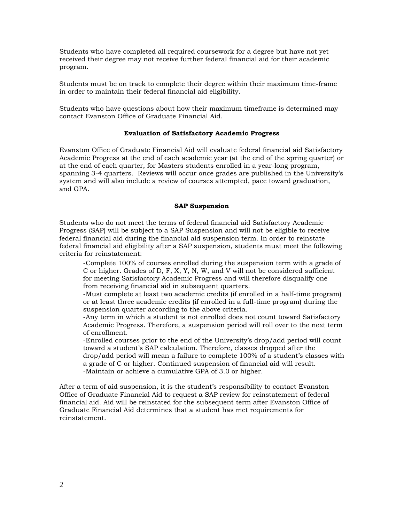Students who have completed all required coursework for a degree but have not yet received their degree may not receive further federal financial aid for their academic program.

Students must be on track to complete their degree within their maximum time-frame in order to maintain their federal financial aid eligibility.

Students who have questions about how their maximum timeframe is determined may contact Evanston Office of Graduate Financial Aid.

#### **Evaluation of Satisfactory Academic Progress**

Evanston Office of Graduate Financial Aid will evaluate federal financial aid Satisfactory Academic Progress at the end of each academic year (at the end of the spring quarter) or at the end of each quarter, for Masters students enrolled in a year-long program, spanning 3-4 quarters. Reviews will occur once grades are published in the University's system and will also include a review of courses attempted, pace toward graduation, and GPA.

#### **SAP Suspension**

Students who do not meet the terms of federal financial aid Satisfactory Academic Progress (SAP) will be subject to a SAP Suspension and will not be eligible to receive federal financial aid during the financial aid suspension term. In order to reinstate federal financial aid eligibility after a SAP suspension, students must meet the following criteria for reinstatement:

-Complete 100% of courses enrolled during the suspension term with a grade of C or higher*.* Grades of D, F, X, Y, N, W, and V will not be considered sufficient for meeting Satisfactory Academic Progress and will therefore disqualify one from receiving financial aid in subsequent quarters.

-Must complete at least two academic credits (if enrolled in a half-time program) or at least three academic credits (if enrolled in a full-time program) during the suspension quarter according to the above criteria.

-Any term in which a student is not enrolled does not count toward Satisfactory Academic Progress. Therefore, a suspension period will roll over to the next term of enrollment.

-Enrolled courses prior to the end of the University's drop/add period will count toward a student's SAP calculation. Therefore, classes dropped after the drop/add period will mean a failure to complete 100% of a student's classes with a grade of C or higher. Continued suspension of financial aid will result. -Maintain or achieve a cumulative GPA of 3.0 or higher.

After a term of aid suspension, it is the student's responsibility to contact Evanston Office of Graduate Financial Aid to request a SAP review for reinstatement of federal financial aid. Aid will be reinstated for the subsequent term after Evanston Office of Graduate Financial Aid determines that a student has met requirements for reinstatement.